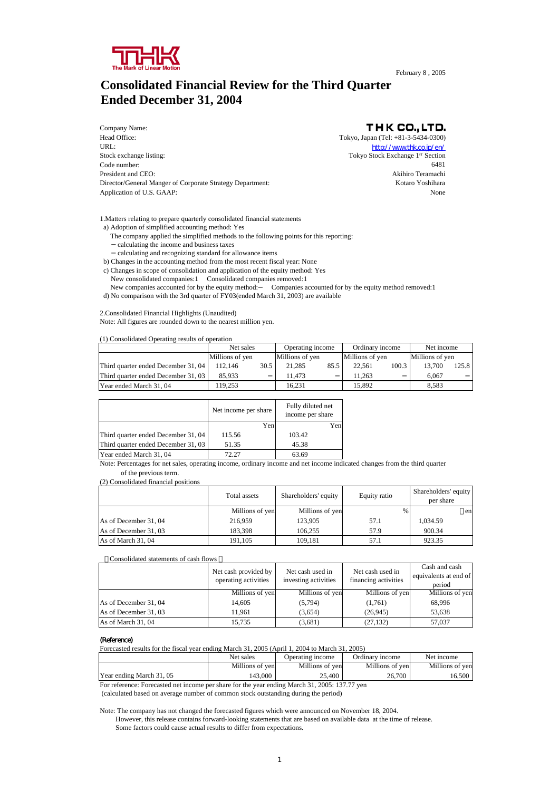

## **Consolidated Financial Review for the Third Quarter Ended December 31, 2004**

Company Name: Head Office: Tokyo, Japan (Tel: +81-3-5434-0300) URL: the contract of the contract of the contract of the contract of the contract of the contract of the contract of the contract of the contract of the contract of the contract of the contract of the contract of the contr Stock exchange listing: Tokyo Stock Exchange 1<sup>ST</sup> Section Code number: 6481 President and CEO:<br>
Director/General Manger of Corporate Strategy Department:<br>
Kotaro Yoshihara Director/General Manger of Corporate Strategy Department: Application of U.S. GAAP: None

THK CO., LTD.

1.Matters relating to prepare quarterly consolidated financial statements

- a) Adoption of simplified accounting method: Yes
- The company applied the simplified methods to the following points for this reporting: calculating the income and business taxes calculating and recognizing standard for allowance items

b) Changes in the accounting method from the most recent fiscal year: None

- c) Changes in scope of consolidation and application of the equity method: Yes
- New consolidated companies:1 Consolidated companies removed:1
- New companies accounted for by the equity method: Companies accounted for by the equity method removed:1 d) No comparison with the 3rd quarter of FY03(ended March 31, 2003) are available

2.Consolidated Financial Highlights (Unaudited)

Note: All figures are rounded down to the nearest million yen.

(1) Consolidated Operating results of operation

|                                     | Net sales<br>Operating income |      |                 | Ordinary income |                 | Net income |                 |       |
|-------------------------------------|-------------------------------|------|-----------------|-----------------|-----------------|------------|-----------------|-------|
|                                     | Millions of yen               |      | Millions of yen |                 | Millions of yen |            | Millions of yen |       |
| Third quarter ended December 31, 04 | 112.146                       | 30.5 | 21.285          | 85.5            | 22.561          | 100.3      | 13.700          | 125.8 |
| Third quarter ended December 31, 03 | 85.933                        |      | 11.473          |                 | 11.263          |            | 6.067           |       |
| Year ended March 31, 04             | 19.253                        |      | 16.231          |                 | 15.892          |            | 8.583           |       |

|                                     | Net income per share | Fully diluted net<br>income per share |
|-------------------------------------|----------------------|---------------------------------------|
|                                     | Yen                  | Yen                                   |
| Third quarter ended December 31, 04 | 115.56               | 103.42                                |
| Third quarter ended December 31, 03 | 51.35                | 45.38                                 |
| Year ended March 31, 04             | 72.27                | 63.69                                 |

Note: Percentages for net sales, operating income, ordinary income and net income indicated changes from the third quarter of the previous term.

(2) Consolidated financial positions

|                       | Total assets    | Shareholders' equity | Equity ratio | Shareholders' equity<br>per share |
|-----------------------|-----------------|----------------------|--------------|-----------------------------------|
|                       | Millions of yen | Millions of yen      | $\%$         | en                                |
| As of December 31, 04 | 216,959         | 123,905              | 57.1         | 1,034.59                          |
| As of December 31, 03 | 183.398         | 106.255              | 57.9         | 900.34                            |
| As of March 31, 04    | 191.105         | 109,181              | 57.1         | 923.35                            |

#### [ Consolidated statements of cash flows

|                       | Net cash provided by<br>operating activities | Net cash used in<br>investing activities | Net cash used in<br>financing activities | Cash and cash<br>equivalents at end of<br>period |
|-----------------------|----------------------------------------------|------------------------------------------|------------------------------------------|--------------------------------------------------|
|                       | Millions of yen                              | Millions of yen                          | Millions of yen                          | Millions of yen                                  |
| As of December 31, 04 | 14.605                                       | (5, 794)                                 | (1,761)                                  | 68.996                                           |
| As of December 31, 03 | 11.961                                       | (3,654)                                  | (26, 945)                                | 53,638                                           |
| As of March 31, 04    | 15.735                                       | (3,681)                                  | (27, 132)                                | 57,037                                           |

#### (Reference)

Forecasted results for the fiscal year ending March 31, 2005 (April 1, 2004 to March 31, 2005)

|                          | Net sales       | Operating income | Ordinary income | Net income      |
|--------------------------|-----------------|------------------|-----------------|-----------------|
|                          | Millions of ven | Millions of yen  | Millions of yen | Millions of ven |
| Year ending March 31, 05 | 143.000         | 25.400           | 26.700          | 16,500          |

For reference: Forecasted net income per share for the year ending March 31, 2005: 137.77 yen

(calculated based on average number of common stock outstanding during the period)

Note: The company has not changed the forecasted figures which were announced on November 18, 2004.

 However, this release contains forward-looking statements that are based on available data at the time of release. Some factors could cause actual results to differ from expectations.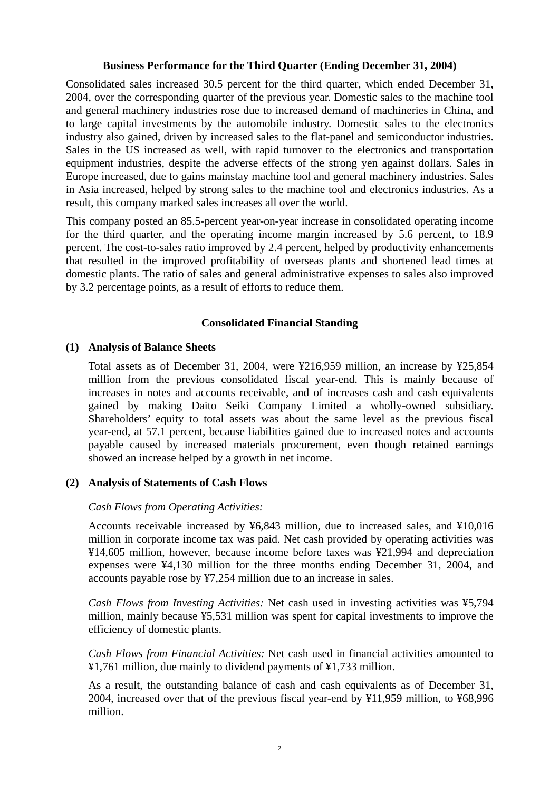## **Business Performance for the Third Quarter (Ending December 31, 2004)**

Consolidated sales increased 30.5 percent for the third quarter, which ended December 31, 2004, over the corresponding quarter of the previous year. Domestic sales to the machine tool and general machinery industries rose due to increased demand of machineries in China, and to large capital investments by the automobile industry. Domestic sales to the electronics industry also gained, driven by increased sales to the flat-panel and semiconductor industries. Sales in the US increased as well, with rapid turnover to the electronics and transportation equipment industries, despite the adverse effects of the strong yen against dollars. Sales in Europe increased, due to gains mainstay machine tool and general machinery industries. Sales in Asia increased, helped by strong sales to the machine tool and electronics industries. As a result, this company marked sales increases all over the world.

This company posted an 85.5-percent year-on-year increase in consolidated operating income for the third quarter, and the operating income margin increased by 5.6 percent, to 18.9 percent. The cost-to-sales ratio improved by 2.4 percent, helped by productivity enhancements that resulted in the improved profitability of overseas plants and shortened lead times at domestic plants. The ratio of sales and general administrative expenses to sales also improved by 3.2 percentage points, as a result of efforts to reduce them.

## **Consolidated Financial Standing**

### **(1) Analysis of Balance Sheets**

Total assets as of December 31, 2004, were ¥216,959 million, an increase by ¥25,854 million from the previous consolidated fiscal year-end. This is mainly because of increases in notes and accounts receivable, and of increases cash and cash equivalents gained by making Daito Seiki Company Limited a wholly-owned subsidiary. Shareholders' equity to total assets was about the same level as the previous fiscal year-end, at 57.1 percent, because liabilities gained due to increased notes and accounts payable caused by increased materials procurement, even though retained earnings showed an increase helped by a growth in net income.

## **(2) Analysis of Statements of Cash Flows**

## *Cash Flows from Operating Activities:*

Accounts receivable increased by ¥6,843 million, due to increased sales, and ¥10,016 million in corporate income tax was paid. Net cash provided by operating activities was ¥14,605 million, however, because income before taxes was ¥21,994 and depreciation expenses were ¥4,130 million for the three months ending December 31, 2004, and accounts payable rose by ¥7,254 million due to an increase in sales.

*Cash Flows from Investing Activities:* Net cash used in investing activities was ¥5,794 million, mainly because ¥5,531 million was spent for capital investments to improve the efficiency of domestic plants.

*Cash Flows from Financial Activities:* Net cash used in financial activities amounted to ¥1,761 million, due mainly to dividend payments of ¥1,733 million.

As a result, the outstanding balance of cash and cash equivalents as of December 31, 2004, increased over that of the previous fiscal year-end by ¥11,959 million, to ¥68,996 million.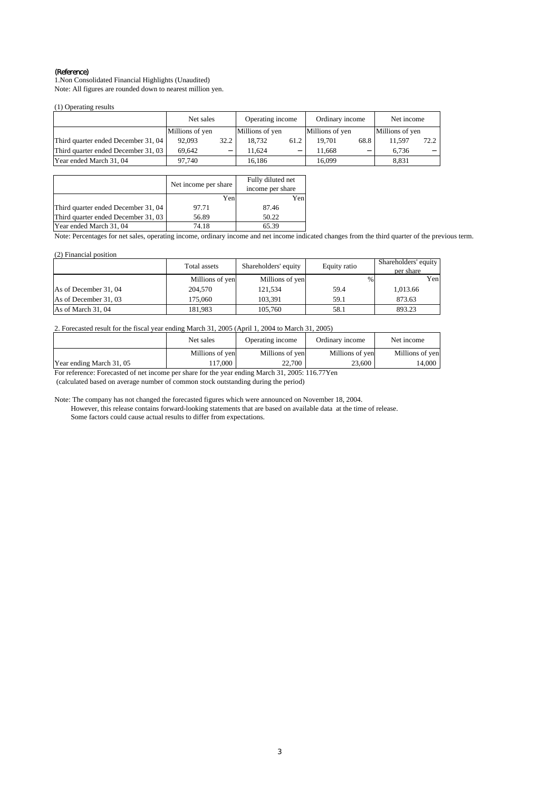#### (Reference)

1.Non Consolidated Financial Highlights (Unaudited) Note: All figures are rounded down to nearest million yen.

(1) Operating results

|                                     | Net sales       |      | Operating income |      | Ordinary income |      | Net income      |      |
|-------------------------------------|-----------------|------|------------------|------|-----------------|------|-----------------|------|
|                                     | Millions of yen |      | Millions of yen  |      | Millions of yen |      | Millions of yen |      |
| Third quarter ended December 31, 04 | 92,093          | 32.2 | 18.732           | 61.2 | 19.701          | 68.8 | 11.597          | 72.2 |
| Third quarter ended December 31, 03 | 69.642          |      | 11.624           |      | 11.668          |      | 6.736           |      |
| Year ended March 31, 04             | 97.740          |      | 16.186           |      | 16.099          |      | 8.831           |      |

|                                     | Net income per share | Fully diluted net<br>income per share |
|-------------------------------------|----------------------|---------------------------------------|
|                                     | Yen                  | Yen                                   |
| Third quarter ended December 31, 04 | 97.71                | 87.46                                 |
| Third quarter ended December 31, 03 | 56.89                | 50.22                                 |
| Year ended March 31, 04             | 74.18                | 65.39                                 |

Note: Percentages for net sales, operating income, ordinary income and net income indicated changes from the third quarter of the previous term.

#### (2) Financial position

|                       | Total assets    | Shareholders' equity<br>Equity ratio |               | Shareholders' equity<br>per share |
|-----------------------|-----------------|--------------------------------------|---------------|-----------------------------------|
|                       | Millions of yen | Millions of yen                      | $\frac{0}{0}$ | Yen                               |
| As of December 31, 04 | 204,570         | 121.534                              | 59.4          | 1.013.66                          |
| As of December 31, 03 | 175,060         | 103.391                              | 59.1          | 873.63                            |
| As of March 31, 04    | 181.983         | 105,760                              | 58.1          | 893.23                            |

#### 2. Forecasted result for the fiscal year ending March 31, 2005 (April 1, 2004 to March 31, 2005)

|                          | Net sales       | Operating income | Ordinary income | Net income      |
|--------------------------|-----------------|------------------|-----------------|-----------------|
|                          | Millions of yen | Millions of yen  | Millions of yen | Millions of yen |
| Year ending March 31, 05 | $17,000$ .      | 22.700           | 23.600          | 14.000 l        |

For reference: Forecasted of net income per share for the year ending March 31, 2005: 116.77Yen

(calculated based on average number of common stock outstanding during the period)

Note: The company has not changed the forecasted figures which were announced on November 18, 2004.

 However, this release contains forward-looking statements that are based on available data at the time of release. Some factors could cause actual results to differ from expectations.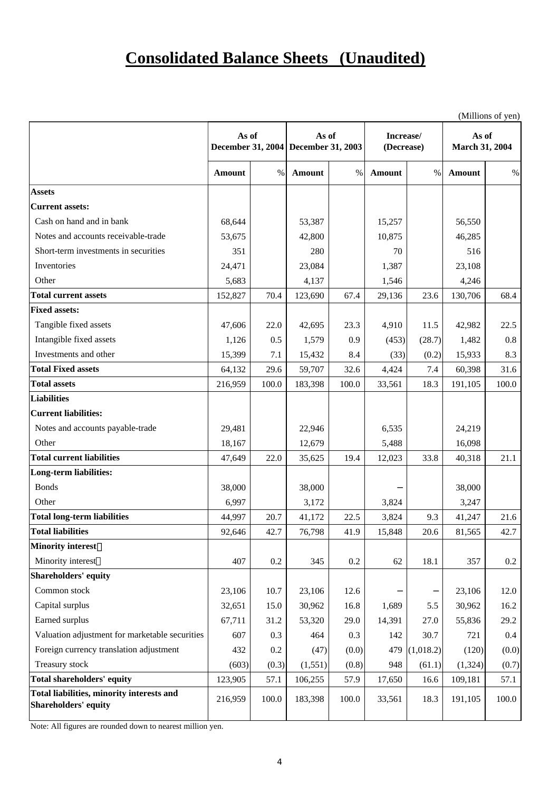## **Consolidated Balance Sheets (Unaudited)**

|                                                                   |         |       |                                              |       |                         |           | (Millions of yen)       |         |
|-------------------------------------------------------------------|---------|-------|----------------------------------------------|-------|-------------------------|-----------|-------------------------|---------|
|                                                                   | As of   |       | As of<br>December 31, 2004 December 31, 2003 |       | Increase/<br>(Decrease) |           | As of<br>March 31, 2004 |         |
|                                                                   | Amount  | $\%$  | Amount                                       | $\%$  | Amount                  | $\%$      | <b>Amount</b>           | $\%$    |
| <b>Assets</b>                                                     |         |       |                                              |       |                         |           |                         |         |
| <b>Current assets:</b>                                            |         |       |                                              |       |                         |           |                         |         |
| Cash on hand and in bank                                          | 68,644  |       | 53,387                                       |       | 15,257                  |           | 56,550                  |         |
| Notes and accounts receivable-trade                               | 53,675  |       | 42,800                                       |       | 10,875                  |           | 46,285                  |         |
| Short-term investments in securities                              | 351     |       | 280                                          |       | 70                      |           | 516                     |         |
| Inventories                                                       | 24,471  |       | 23,084                                       |       | 1,387                   |           | 23,108                  |         |
| Other                                                             | 5,683   |       | 4,137                                        |       | 1,546                   |           | 4,246                   |         |
| <b>Total current assets</b>                                       | 152,827 | 70.4  | 123,690                                      | 67.4  | 29,136                  | 23.6      | 130,706                 | 68.4    |
| <b>Fixed assets:</b>                                              |         |       |                                              |       |                         |           |                         |         |
| Tangible fixed assets                                             | 47,606  | 22.0  | 42,695                                       | 23.3  | 4,910                   | 11.5      | 42,982                  | 22.5    |
| Intangible fixed assets                                           | 1,126   | 0.5   | 1,579                                        | 0.9   | (453)                   | (28.7)    | 1,482                   | 0.8     |
| Investments and other                                             | 15,399  | 7.1   | 15,432                                       | 8.4   | (33)                    | (0.2)     | 15,933                  | 8.3     |
| <b>Total Fixed assets</b>                                         | 64,132  | 29.6  | 59,707                                       | 32.6  | 4,424                   | 7.4       | 60,398                  | 31.6    |
| <b>Total assets</b>                                               | 216,959 | 100.0 | 183,398                                      | 100.0 | 33,561                  | 18.3      | 191,105                 | 100.0   |
| <b>Liabilities</b>                                                |         |       |                                              |       |                         |           |                         |         |
| <b>Current liabilities:</b>                                       |         |       |                                              |       |                         |           |                         |         |
| Notes and accounts payable-trade                                  | 29,481  |       | 22,946                                       |       | 6,535                   |           | 24,219                  |         |
| Other                                                             | 18,167  |       | 12,679                                       |       | 5,488                   |           | 16,098                  |         |
| <b>Total current liabilities</b>                                  | 47,649  | 22.0  | 35,625                                       | 19.4  | 12,023                  | 33.8      | 40,318                  | 21.1    |
| <b>Long-term liabilities:</b>                                     |         |       |                                              |       |                         |           |                         |         |
| <b>Bonds</b>                                                      | 38,000  |       | 38,000                                       |       |                         |           | 38,000                  |         |
| Other                                                             | 6,997   |       | 3,172                                        |       | 3,824                   |           | 3,247                   |         |
| <b>Total long-term liabilities</b>                                | 44,997  | 20.7  | 41,172                                       | 22.5  | 3,824                   | 9.3       | 41,247                  | 21.6    |
| <b>Total liabilities</b>                                          | 92,646  | 42.7  | 76,798                                       | 41.9  | 15,848                  | 20.6      | 81,565                  | 42.7    |
| <b>Minority interest</b>                                          |         |       |                                              |       |                         |           |                         |         |
| Minority interest                                                 | 407     | 0.2   | 345                                          | 0.2   | 62                      | 18.1      | 357                     | $0.2\,$ |
| Shareholders' equity                                              |         |       |                                              |       |                         |           |                         |         |
| Common stock                                                      | 23,106  | 10.7  | 23,106                                       | 12.6  |                         |           | 23,106                  | 12.0    |
| Capital surplus                                                   | 32,651  | 15.0  | 30,962                                       | 16.8  | 1,689                   | 5.5       | 30,962                  | 16.2    |
| Earned surplus                                                    | 67,711  | 31.2  | 53,320                                       | 29.0  | 14,391                  | 27.0      | 55,836                  | 29.2    |
| Valuation adjustment for marketable securities                    | 607     | 0.3   | 464                                          | 0.3   | 142                     | 30.7      | 721                     | $0.4\,$ |
| Foreign currency translation adjustment                           | 432     | 0.2   | (47)                                         | (0.0) | 479                     | (1,018.2) | (120)                   | (0.0)   |
| Treasury stock                                                    | (603)   | (0.3) | (1, 551)                                     | (0.8) | 948                     | (61.1)    | (1, 324)                | (0.7)   |
| <b>Total shareholders' equity</b>                                 | 123,905 | 57.1  | 106,255                                      | 57.9  | 17,650                  | 16.6      | 109,181                 | 57.1    |
| Total liabilities, minority interests and<br>Shareholders' equity | 216,959 | 100.0 | 183,398                                      | 100.0 | 33,561                  | 18.3      | 191,105                 | 100.0   |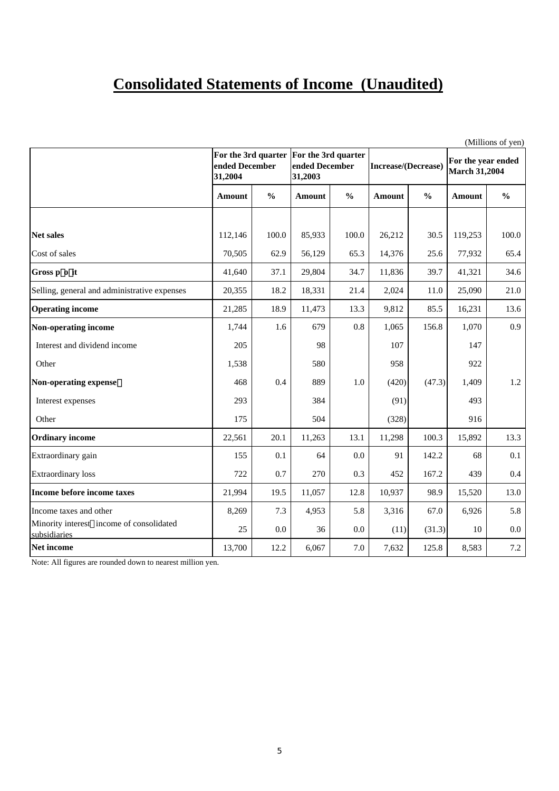## **Consolidated Statements of Income (Unaudited)**

|                                                          |                           |               |                                                                      |               |                            |               | (Millions of yen)                          |               |
|----------------------------------------------------------|---------------------------|---------------|----------------------------------------------------------------------|---------------|----------------------------|---------------|--------------------------------------------|---------------|
|                                                          | ended December<br>31,2004 |               | For the 3rd quarter For the 3rd quarter<br>ended December<br>31,2003 |               | <b>Increase/(Decrease)</b> |               | For the year ended<br><b>March 31,2004</b> |               |
|                                                          | Amount                    | $\frac{0}{0}$ | <b>Amount</b>                                                        | $\frac{0}{0}$ | <b>Amount</b>              | $\frac{6}{6}$ | <b>Amount</b>                              | $\frac{6}{6}$ |
|                                                          |                           |               |                                                                      |               |                            |               |                                            |               |
| <b>Net sales</b>                                         | 112,146                   | 100.0         | 85,933                                                               | 100.0         | 26,212                     | 30.5          | 119,253                                    | 100.0         |
| Cost of sales                                            | 70,505                    | 62.9          | 56,129                                                               | 65.3          | 14,376                     | 25.6          | 77,932                                     | 65.4          |
| Gross p o it                                             | 41,640                    | 37.1          | 29,804                                                               | 34.7          | 11,836                     | 39.7          | 41,321                                     | 34.6          |
| Selling, general and administrative expenses             | 20,355                    | 18.2          | 18,331                                                               | 21.4          | 2,024                      | 11.0          | 25,090                                     | 21.0          |
| <b>Operating income</b>                                  | 21,285                    | 18.9          | 11,473                                                               | 13.3          | 9,812                      | 85.5          | 16,231                                     | 13.6          |
| Non-operating income                                     | 1,744                     | 1.6           | 679                                                                  | 0.8           | 1,065                      | 156.8         | 1,070                                      | 0.9           |
| Interest and dividend income                             | 205                       |               | 98                                                                   |               | 107                        |               | 147                                        |               |
| Other                                                    | 1,538                     |               | 580                                                                  |               | 958                        |               | 922                                        |               |
| Non-operating expense                                    | 468                       | 0.4           | 889                                                                  | 1.0           | (420)                      | (47.3)        | 1,409                                      | 1.2           |
| Interest expenses                                        | 293                       |               | 384                                                                  |               | (91)                       |               | 493                                        |               |
| Other                                                    | 175                       |               | 504                                                                  |               | (328)                      |               | 916                                        |               |
| <b>Ordinary income</b>                                   | 22,561                    | 20.1          | 11,263                                                               | 13.1          | 11,298                     | 100.3         | 15,892                                     | 13.3          |
| Extraordinary gain                                       | 155                       | 0.1           | 64                                                                   | 0.0           | 91                         | 142.2         | 68                                         | 0.1           |
| <b>Extraordinary</b> loss                                | 722                       | 0.7           | 270                                                                  | 0.3           | 452                        | 167.2         | 439                                        | $0.4\,$       |
| Income before income taxes                               | 21,994                    | 19.5          | 11,057                                                               | 12.8          | 10,937                     | 98.9          | 15,520                                     | 13.0          |
| Income taxes and other                                   | 8,269                     | 7.3           | 4,953                                                                | 5.8           | 3,316                      | 67.0          | 6,926                                      | 5.8           |
| Minority interest income of consolidated<br>subsidiaries | 25                        | 0.0           | 36                                                                   | 0.0           | (11)                       | (31.3)        | 10                                         | $0.0\,$       |
| Net income                                               | 13,700                    | 12.2          | 6,067                                                                | $7.0\,$       | 7,632                      | 125.8         | 8,583                                      | 7.2           |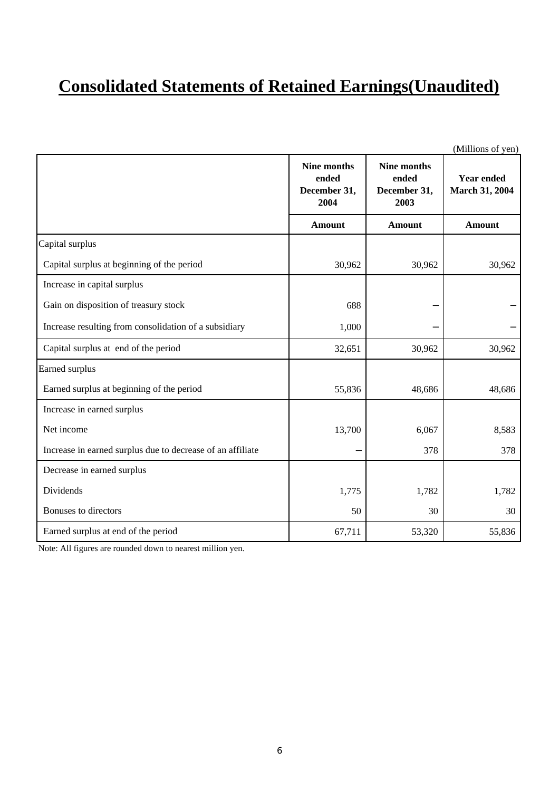# **Consolidated Statements of Retained Earnings(Unaudited)**

|                                                            |                                                     |                                                     | (Millions of yen)                          |
|------------------------------------------------------------|-----------------------------------------------------|-----------------------------------------------------|--------------------------------------------|
|                                                            | <b>Nine months</b><br>ended<br>December 31,<br>2004 | <b>Nine months</b><br>ended<br>December 31,<br>2003 | <b>Year ended</b><br><b>March 31, 2004</b> |
|                                                            | <b>Amount</b>                                       | <b>Amount</b>                                       | <b>Amount</b>                              |
| Capital surplus                                            |                                                     |                                                     |                                            |
| Capital surplus at beginning of the period                 | 30,962                                              | 30,962                                              | 30,962                                     |
| Increase in capital surplus                                |                                                     |                                                     |                                            |
| Gain on disposition of treasury stock                      | 688                                                 |                                                     |                                            |
| Increase resulting from consolidation of a subsidiary      | 1,000                                               |                                                     |                                            |
| Capital surplus at end of the period                       | 32,651                                              | 30,962                                              | 30,962                                     |
| Earned surplus                                             |                                                     |                                                     |                                            |
| Earned surplus at beginning of the period                  | 55,836                                              | 48,686                                              | 48,686                                     |
| Increase in earned surplus                                 |                                                     |                                                     |                                            |
| Net income                                                 | 13,700                                              | 6,067                                               | 8,583                                      |
| Increase in earned surplus due to decrease of an affiliate |                                                     | 378                                                 | 378                                        |
| Decrease in earned surplus                                 |                                                     |                                                     |                                            |
| Dividends                                                  | 1,775                                               | 1,782                                               | 1,782                                      |
| Bonuses to directors                                       | 50                                                  | 30                                                  | 30                                         |
| Earned surplus at end of the period                        | 67,711                                              | 53,320                                              | 55,836                                     |